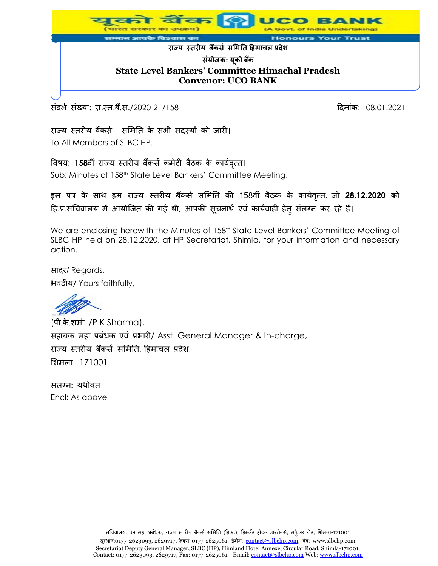

संदर्भ संख्या: रा.स्त.बैं.स./2020-21/158 हिंदी कर संस्था कर संस्था कर विनांक: 08.01.2021

राज्य स्तरीय बैंकर्स समिति के सभी सदस्यों को जारी। To All Members of SLBC HP.

विषय: 158वीं राज्य स्तरीय बैंकर्स कमेटी बैठक के कार्यवृत्त।

Sub: Minutes of 158<sup>th</sup> State Level Bankers' Committee Meeting.

इस पत्र के साथ हम राज्य स्तरीय बैंकर्स समिति की 158वीं बैठक के कार्यवृत्त, जो 28.12.2020 को हि.प्र.सचिवालय में आयोजित की गई थी, आपकी सूचनार्थ एवं कार्यवाही हेत् संलग्न कर रहे हैं।

We are enclosing herewith the Minutes of 158<sup>th</sup> State Level Bankers' Committee Meeting of SLBC HP held on 28.12.2020, at HP Secretariat, Shimla, for your information and necessary action.

सादर/ Regards, भवदीय/ Yours faithfully,

(पी.के.िमास /P.K.Sharma), सहायक महा प्रबंधक एवं प्रभारी/ Asst. General Manager & In-charge, राज्य स्तरीय बैंकर्स समिति, हिमाचल प्रदेश, मिमला -171001.

संलग्न: यथोक्त Encl: As above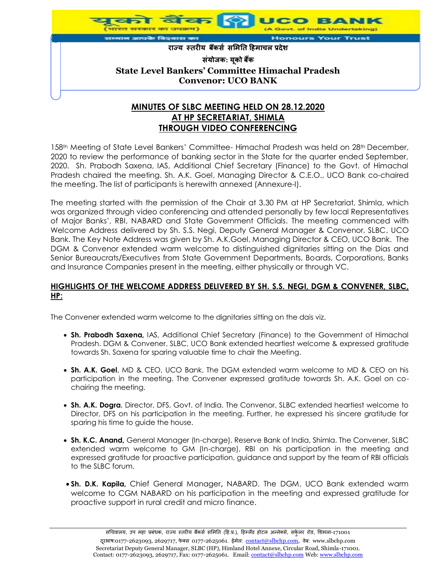

# **AT HP SECRETARIAT, SHIMLA THROUGH VIDEO CONFERENCING**

158th Meeting of State Level Bankers' Committee- Himachal Pradesh was held on 28th December, 2020 to review the performance of banking sector in the State for the quarter ended September, 2020. Sh. Prabodh Saxena, IAS, Additional Chief Secretary (Finance) to the Govt. of Himachal Pradesh chaired the meeting. Sh. A.K. Goel, Managing Director & C.E.O., UCO Bank co-chaired the meeting. The list of participants is herewith annexed (Annexure-I).

The meeting started with the permission of the Chair at 3.30 PM at HP Secretariat, Shimla, which was organized through video conferencing and attended personally by few local Representatives of Major Banks', RBI, NABARD and State Government Officials. The meeting commenced with Welcome Address delivered by Sh. S.S. Negi, Deputy General Manager & Convenor, SLBC, UCO Bank. The Key Note Address was given by Sh. A.K.Goel, Managing Director & CEO, UCO Bank. The DGM & Convenor extended warm welcome to distinguished dignitaries sitting on the Dias and Senior Bureaucrats/Executives from State Government Departments, Boards, Corporations, Banks and Insurance Companies present in the meeting, either physically or through VC.

#### **HIGHLIGHTS OF THE WELCOME ADDRESS DELIVERED BY SH. S.S. NEGI, DGM & CONVENER, SLBC, HP:**

The Convener extended warm welcome to the dignitaries sitting on the dais viz.

- **Sh. Prabodh Saxena,** IAS, Additional Chief Secretary (Finance) to the Government of Himachal Pradesh. DGM & Convener, SLBC, UCO Bank extended heartiest welcome & expressed gratitude towards Sh. Saxena for sparing valuable time to chair the Meeting.
- **Sh. A.K. Goel**, MD & CEO, UCO Bank. The DGM extended warm welcome to MD & CEO on his participation in the meeting. The Convener expressed gratitude towards Sh. A.K. Goel on cochairing the meeting.
- **Sh. A.K. Dogra**, Director, DFS, Govt. of India. The Convenor, SLBC extended heartiest welcome to Director, DFS on his participation in the meeting. Further, he expressed his sincere gratitude for sparing his time to guide the house.
- **Sh. K.C. Anand,** General Manager (In-charge), Reserve Bank of India, Shimla. The Convener, SLBC extended warm welcome to GM (In-charge), RBI on his participation in the meeting and expressed gratitude for proactive participation, guidance and support by the team of RBI officials to the SLBC forum.
- **Sh. D.K. Kapila,** Chief General Manager**,** NABARD. The DGM, UCO Bank extended warm welcome to CGM NABARD on his participation in the meeting and expressed gratitude for proactive support in rural credit and micro finance.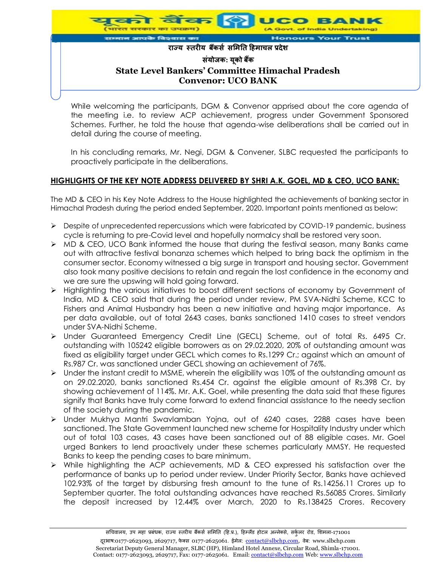

While welcoming the participants, DGM & Convenor apprised about the core agenda of the meeting i.e. to review ACP achievement, progress under Government Sponsored Schemes. Further, he told the house that agenda-wise deliberations shall be carried out in detail during the course of meeting.

In his concluding remarks, Mr. Negi, DGM & Convener, SLBC requested the participants to proactively participate in the deliberations.

### **HIGHLIGHTS OF THE KEY NOTE ADDRESS DELIVERED BY SHRI A.K. GOEL, MD & CEO, UCO BANK:**

The MD & CEO in his Key Note Address to the House highlighted the achievements of banking sector in Himachal Pradesh during the period ended September, 2020. Important points mentioned as below:

- $\triangleright$  Despite of unprecedented repercussions which were fabricated by COVID-19 pandemic, business cycle is returning to pre-Covid level and hopefully normalcy shall be restored very soon.
- $\triangleright$  MD & CEO, UCO Bank informed the house that during the festival season, many Banks came out with attractive festival bonanza schemes which helped to bring back the optimism in the consumer sector. Economy witnessed a big surge in transport and housing sector. Government also took many positive decisions to retain and regain the lost confidence in the economy and we are sure the upswing will hold going forward.
- $\triangleright$  Highlighting the various initiatives to boost different sections of economy by Government of India, MD & CEO said that during the period under review, PM SVA-Nidhi Scheme, KCC to Fishers and Animal Husbandry has been a new initiative and having major importance. As per data available, out of total 2643 cases, banks sanctioned 1410 cases to street vendors under SVA-Nidhi Scheme.
- Under Guaranteed Emergency Credit Line (GECL) Scheme, out of total Rs. 6495 Cr. outstanding with 105242 eligible borrowers as on 29.02.2020, 20% of outstanding amount was fixed as eligibility target under GECL which comes to Rs.1299 Cr.; against which an amount of Rs.987 Cr. was sanctioned under GECL showing an achievement of 76%.
- $\triangleright$  Under the instant credit to MSME, wherein the eligibility was 10% of the outstanding amount as on 29.02.2020, banks sanctioned Rs.454 Cr. against the eligible amount of Rs.398 Cr. by showing achievement of 114%. Mr. A.K. Goel, while presenting the data said that these figures signify that Banks have truly come forward to extend financial assistance to the needy section of the society during the pandemic.
- Under Mukhya Mantri Swavlamban Yojna, out of 6240 cases, 2288 cases have been sanctioned. The State Government launched new scheme for Hospitality Industry under which out of total 103 cases, 43 cases have been sanctioned out of 88 eligible cases. Mr. Goel urged Bankers to lend proactively under these schemes particularly MMSY. He requested Banks to keep the pending cases to bare minimum.
- $\triangleright$  While highlighting the ACP achievements, MD & CEO expressed his satisfaction over the performance of banks up to period under review. Under Priority Sector, Banks have achieved 102.93% of the target by disbursing fresh amount to the tune of Rs.14256.11 Crores up to September quarter. The total outstanding advances have reached Rs.56085 Crores. Similarly the deposit increased by 12.44% over March, 2020 to Rs.138425 Crores. Recovery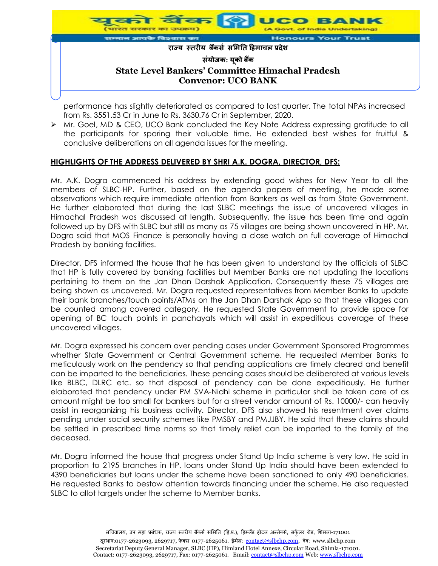

performance has slightly deteriorated as compared to last quarter. The total NPAs increased from Rs. 3551.53 Cr in June to Rs. 3630.76 Cr in September, 2020.

 Mr. Goel, MD & CEO, UCO Bank concluded the Key Note Address expressing gratitude to all the participants for sparing their valuable time. He extended best wishes for fruitful & conclusive deliberations on all agenda issues for the meeting.

### **HIGHLIGHTS OF THE ADDRESS DELIVERED BY SHRI A.K. DOGRA, DIRECTOR, DFS:**

Mr. A.K. Dogra commenced his address by extending good wishes for New Year to all the members of SLBC-HP. Further, based on the agenda papers of meeting, he made some observations which require immediate attention from Bankers as well as from State Government. He further elaborated that during the last SLBC meetings the issue of uncovered villages in Himachal Pradesh was discussed at length. Subsequently, the issue has been time and again followed up by DFS with SLBC but still as many as 75 villages are being shown uncovered in HP. Mr. Dogra said that MOS Finance is personally having a close watch on full coverage of Himachal Pradesh by banking facilities.

Director, DFS informed the house that he has been given to understand by the officials of SLBC that HP is fully covered by banking facilities but Member Banks are not updating the locations pertaining to them on the Jan Dhan Darshak Application. Consequently these 75 villages are being shown as uncovered. Mr. Dogra requested representatives from Member Banks to update their bank branches/touch points/ATMs on the Jan Dhan Darshak App so that these villages can be counted among covered category. He requested State Government to provide space for opening of BC touch points in panchayats which will assist in expeditious coverage of these uncovered villages.

Mr. Dogra expressed his concern over pending cases under Government Sponsored Programmes whether State Government or Central Government scheme. He requested Member Banks to meticulously work on the pendency so that pending applications are timely cleared and benefit can be imparted to the beneficiaries. These pending cases should be deliberated at various levels like BLBC, DLRC etc. so that disposal of pendency can be done expeditiously. He further elaborated that pendency under PM SVA-Nidhi scheme in particular shall be taken care of as amount might be too small for bankers but for a street vendor amount of Rs. 10000/- can heavily assist in reorganizing his business activity. Director, DFS also showed his resentment over claims pending under social security schemes like PMSBY and PMJJBY. He said that these claims should be settled in prescribed time norms so that timely relief can be imparted to the family of the deceased.

Mr. Dogra informed the house that progress under Stand Up India scheme is very low. He said in proportion to 2195 branches in HP, loans under Stand Up India should have been extended to 4390 beneficiaries but loans under the scheme have been sanctioned to only 490 beneficiaries. He requested Banks to bestow attention towards financing under the scheme. He also requested SLBC to allot targets under the scheme to Member banks.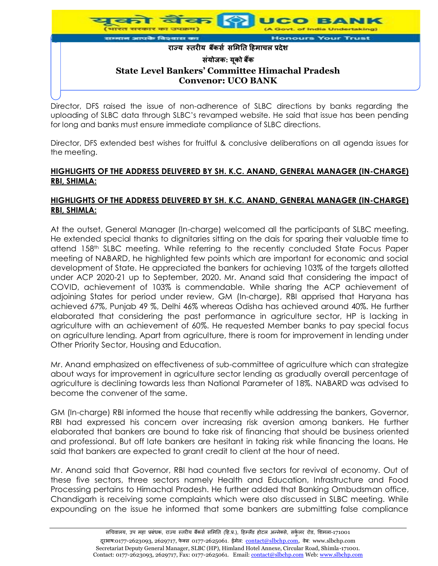

Director, DFS raised the issue of non-adherence of SLBC directions by banks regarding the uploading of SLBC data through SLBC's revamped website. He said that issue has been pending for long and banks must ensure immediate compliance of SLBC directions.

Director, DFS extended best wishes for fruitful & conclusive deliberations on all agenda issues for the meeting.

#### **HIGHLIGHTS OF THE ADDRESS DELIVERED BY SH. K.C. ANAND, GENERAL MANAGER (IN-CHARGE) RBI, SHIMLA:**

#### **HIGHLIGHTS OF THE ADDRESS DELIVERED BY SH. K.C. ANAND, GENERAL MANAGER (IN-CHARGE) RBI, SHIMLA:**

At the outset, General Manager (In-charge) welcomed all the participants of SLBC meeting. He extended special thanks to dignitaries sitting on the dais for sparing their valuable time to attend 158th SLBC meeting. While referring to the recently concluded State Focus Paper meeting of NABARD, he highlighted few points which are important for economic and social development of State. He appreciated the bankers for achieving 103% of the targets allotted under ACP 2020-21 up to September, 2020. Mr. Anand said that considering the impact of COVID, achievement of 103% is commendable. While sharing the ACP achievement of adjoining States for period under review, GM (In-charge), RBI apprised that Haryana has achieved 67%, Punjab 49 %, Delhi 46% whereas Odisha has achieved around 40%. He further elaborated that considering the past performance in agriculture sector, HP is lacking in agriculture with an achievement of 60%. He requested Member banks to pay special focus on agriculture lending. Apart from agriculture, there is room for improvement in lending under Other Priority Sector, Housing and Education.

Mr. Anand emphasized on effectiveness of sub-committee of agriculture which can strategize about ways for improvement in agriculture sector lending as gradually overall percentage of agriculture is declining towards less than National Parameter of 18%. NABARD was advised to become the convener of the same.

GM (In-charge) RBI informed the house that recently while addressing the bankers, Governor, RBI had expressed his concern over increasing risk aversion among bankers. He further elaborated that bankers are bound to take risk of financing that should be business oriented and professional. But off late bankers are hesitant in taking risk while financing the loans. He said that bankers are expected to grant credit to client at the hour of need.

Mr. Anand said that Governor, RBI had counted five sectors for revival of economy. Out of these five sectors, three sectors namely Health and Education, Infrastructure and Food Processing pertains to Himachal Pradesh. He further added that Banking Ombudsman office, Chandigarh is receiving some complaints which were also discussed in SLBC meeting. While expounding on the issue he informed that some bankers are submitting false compliance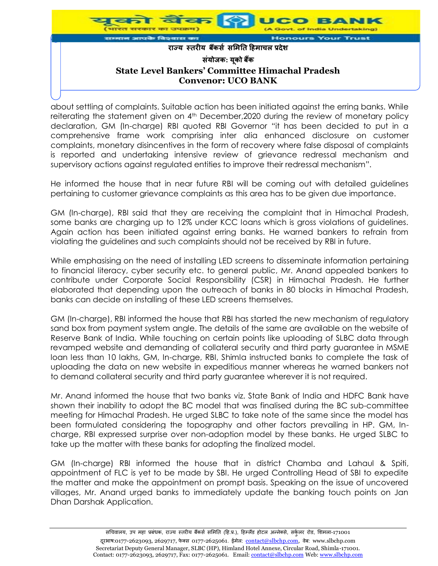

about settling of complaints. Suitable action has been initiated against the erring banks. While reiterating the statement given on 4<sup>th</sup> December, 2020 during the review of monetary policy declaration, GM (In-charge) RBI quoted RBI Governor "it has been decided to put in a comprehensive frame work comprising inter alia enhanced disclosure on customer complaints, monetary disincentives in the form of recovery where false disposal of complaints is reported and undertaking intensive review of grievance redressal mechanism and supervisory actions against regulated entities to improve their redressal mechanism".

He informed the house that in near future RBI will be coming out with detailed guidelines pertaining to customer grievance complaints as this area has to be given due importance.

GM (In-charge), RBI said that they are receiving the complaint that in Himachal Pradesh, some banks are charging up to 12% under KCC loans which is gross violations of guidelines. Again action has been initiated against erring banks. He warned bankers to refrain from violating the guidelines and such complaints should not be received by RBI in future.

While emphasising on the need of installing LED screens to disseminate information pertaining to financial literacy, cyber security etc. to general public, Mr. Anand appealed bankers to contribute under Corporate Social Responsibility (CSR) in Himachal Pradesh. He further elaborated that depending upon the outreach of banks in 80 blocks in Himachal Pradesh, banks can decide on installing of these LED screens themselves.

GM (In-charge), RBI informed the house that RBI has started the new mechanism of regulatory sand box from payment system angle. The details of the same are available on the website of Reserve Bank of India. While touching on certain points like uploading of SLBC data through revamped website and demanding of collateral security and third party guarantee in MSME loan less than 10 lakhs, GM, In-charge, RBI, Shimla instructed banks to complete the task of uploading the data on new website in expeditious manner whereas he warned bankers not to demand collateral security and third party guarantee wherever it is not required.

Mr. Anand informed the house that two banks viz. State Bank of India and HDFC Bank have shown their inability to adopt the BC model that was finalised during the BC sub-committee meeting for Himachal Pradesh. He urged SLBC to take note of the same since the model has been formulated considering the topography and other factors prevailing in HP. GM, Incharge, RBI expressed surprise over non-adoption model by these banks. He urged SLBC to take up the matter with these banks for adopting the finalized model.

GM (In-charge) RBI informed the house that in district Chamba and Lahaul & Spiti, appointment of FLC is yet to be made by SBI. He urged Controlling Head of SBI to expedite the matter and make the appointment on prompt basis. Speaking on the issue of uncovered villages, Mr. Anand urged banks to immediately update the banking touch points on Jan Dhan Darshak Application.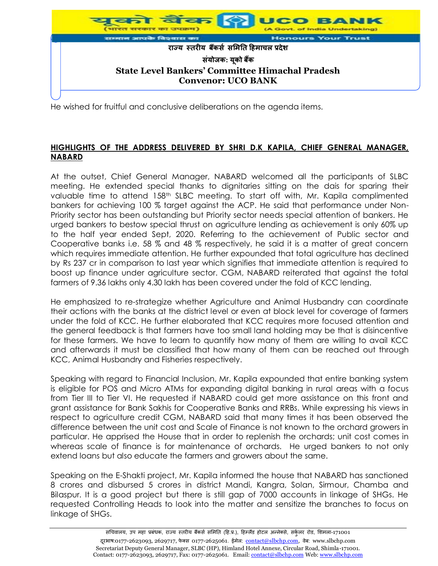

He wished for fruitful and conclusive deliberations on the agenda items.

### **HIGHLIGHTS OF THE ADDRESS DELIVERED BY SHRI D.K KAPILA, CHIEF GENERAL MANAGER, NABARD**

At the outset, Chief General Manager, NABARD welcomed all the participants of SLBC meeting. He extended special thanks to dignitaries sitting on the dais for sparing their valuable time to attend 158<sup>th</sup> SLBC meeting. To start off with, Mr. Kapila complimented bankers for achieving 100 % target against the ACP. He said that performance under Non-Priority sector has been outstanding but Priority sector needs special attention of bankers. He urged bankers to bestow special thrust on agriculture lending as achievement is only 60% up to the half year ended Sept, 2020. Referring to the achievement of Public sector and Cooperative banks i.e. 58 % and 48 % respectively, he said it is a matter of great concern which requires immediate attention. He further expounded that total agriculture has declined by Rs 237 cr in comparison to last year which signifies that immediate attention is required to boost up finance under agriculture sector. CGM, NABARD reiterated that against the total farmers of 9.36 lakhs only 4.30 lakh has been covered under the fold of KCC lending.

He emphasized to re-strategize whether Agriculture and Animal Husbandry can coordinate their actions with the banks at the district level or even at block level for coverage of farmers under the fold of KCC. He further elaborated that KCC requires more focused attention and the general feedback is that farmers have too small land holding may be that is disincentive for these farmers. We have to learn to quantify how many of them are willing to avail KCC and afterwards it must be classified that how many of them can be reached out through KCC, Animal Husbandry and Fisheries respectively.

Speaking with regard to Financial Inclusion, Mr. Kapila expounded that entire banking system is eligible for POS and Micro ATMs for expanding digital banking in rural areas with a focus from Tier III to Tier VI. He requested if NABARD could get more assistance on this front and grant assistance for Bank Sakhis for Cooperative Banks and RRBs. While expressing his views in respect to agriculture credit CGM, NABARD said that many times it has been observed the difference between the unit cost and Scale of Finance is not known to the orchard growers in particular. He apprised the House that in order to replenish the orchards; unit cost comes in whereas scale of finance is for maintenance of orchards. He urged bankers to not only extend loans but also educate the farmers and growers about the same.

Speaking on the E-Shakti project, Mr. Kapila informed the house that NABARD has sanctioned 8 crores and disbursed 5 crores in district Mandi, Kangra, Solan, Sirmour, Chamba and Bilaspur. It is a good project but there is still gap of 7000 accounts in linkage of SHGs. He requested Controlling Heads to look into the matter and sensitize the branches to focus on linkage of SHGs.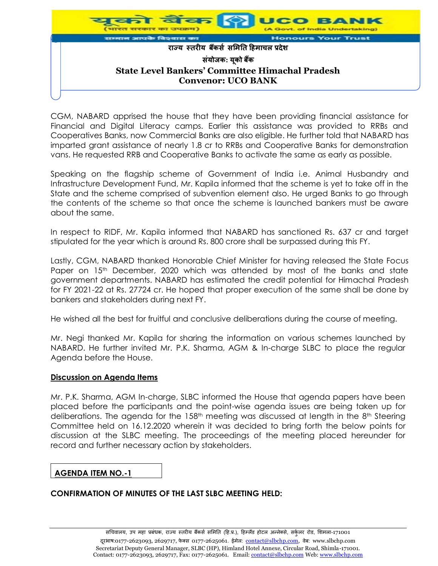

CGM, NABARD apprised the house that they have been providing financial assistance for Financial and Digital Literacy camps. Earlier this assistance was provided to RRBs and Cooperatives Banks, now Commercial Banks are also eligible. He further told that NABARD has imparted grant assistance of nearly 1.8 cr to RRBs and Cooperative Banks for demonstration vans. He requested RRB and Cooperative Banks to activate the same as early as possible.

Speaking on the flagship scheme of Government of India i.e. Animal Husbandry and Infrastructure Development Fund, Mr. Kapila informed that the scheme is yet to take off in the State and the scheme comprised of subvention element also. He urged Banks to go through the contents of the scheme so that once the scheme is launched bankers must be aware about the same.

In respect to RIDF, Mr. Kapila informed that NABARD has sanctioned Rs. 637 cr and target stipulated for the year which is around Rs. 800 crore shall be surpassed during this FY.

Lastly, CGM, NABARD thanked Honorable Chief Minister for having released the State Focus Paper on 15<sup>th</sup> December, 2020 which was attended by most of the banks and state government departments. NABARD has estimated the credit potential for Himachal Pradesh for FY 2021-22 at Rs. 27724 cr. He hoped that proper execution of the same shall be done by bankers and stakeholders during next FY.

He wished all the best for fruitful and conclusive deliberations during the course of meeting.

Mr. Negi thanked Mr. Kapila for sharing the information on various schemes launched by NABARD. He further invited Mr. P.K. Sharma, AGM & In-charge SLBC to place the regular Agenda before the House.

#### **Discussion on Agenda Items**

Mr. P.K. Sharma, AGM In-charge, SLBC informed the House that agenda papers have been placed before the participants and the point-wise agenda issues are being taken up for deliberations. The agenda for the 158<sup>th</sup> meeting was discussed at length in the 8<sup>th</sup> Steering Committee held on 16.12.2020 wherein it was decided to bring forth the below points for discussion at the SLBC meeting. The proceedings of the meeting placed hereunder for record and further necessary action by stakeholders.

#### **AGENDA ITEM NO.-1**

### **CONFIRMATION OF MINUTES OF THE LAST SLBC MEETING HELD:**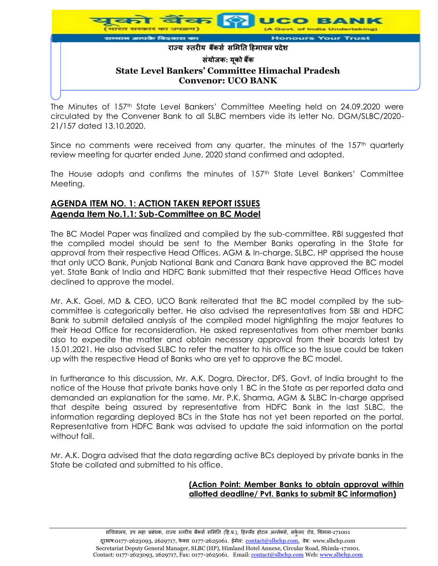

The Minutes of 157<sup>th</sup> State Level Bankers' Committee Meeting held on 24.09.2020 were circulated by the Convener Bank to all SLBC members vide its letter No. DGM/SLBC/2020- 21/157 dated 13.10.2020.

Since no comments were received from any quarter, the minutes of the 157<sup>th</sup> quarterly review meeting for quarter ended June, 2020 stand confirmed and adopted.

The House adopts and confirms the minutes of 157<sup>th</sup> State Level Bankers' Committee Meeting.

### **AGENDA ITEM NO. 1: ACTION TAKEN REPORT ISSUES Agenda Item No.1.1: Sub-Committee on BC Model**

The BC Model Paper was finalized and compiled by the sub-committee. RBI suggested that the compiled model should be sent to the Member Banks operating in the State for approval from their respective Head Offices. AGM & In-charge, SLBC, HP apprised the house that only UCO Bank, Punjab National Bank and Canara Bank have approved the BC model yet. State Bank of India and HDFC Bank submitted that their respective Head Offices have declined to approve the model.

Mr. A.K. Goel, MD & CEO, UCO Bank reiterated that the BC model compiled by the subcommittee is categorically better. He also advised the representatives from SBI and HDFC Bank to submit detailed analysis of the compiled model highlighting the major features to their Head Office for reconsideration. He asked representatives from other member banks also to expedite the matter and obtain necessary approval from their boards latest by 15.01.2021. He also advised SLBC to refer the matter to his office so the issue could be taken up with the respective Head of Banks who are yet to approve the BC model.

In furtherance to this discussion, Mr. A.K. Dogra, Director, DFS, Govt. of India brought to the notice of the House that private banks have only 1 BC in the State as per reported data and demanded an explanation for the same. Mr. P.K. Sharma, AGM & SLBC In-charge apprised that despite being assured by representative from HDFC Bank in the last SLBC, the information regarding deployed BCs in the State has not yet been reported on the portal. Representative from HDFC Bank was advised to update the said information on the portal without fail.

Mr. A.K. Dogra advised that the data regarding active BCs deployed by private banks in the State be collated and submitted to his office.

#### **(Action Point: Member Banks to obtain approval within allotted deadline/ Pvt. Banks to submit BC information)**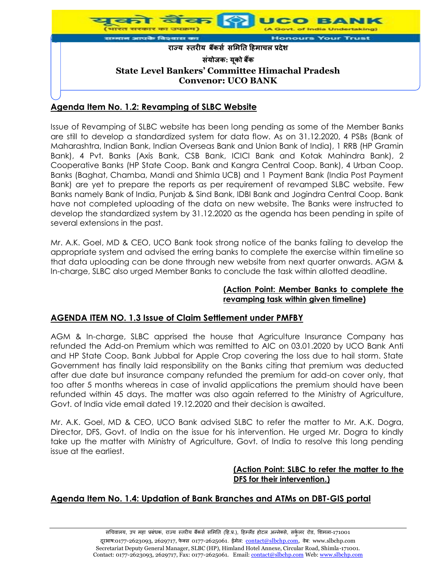

# **Agenda Item No. 1.2: Revamping of SLBC Website**

Issue of Revamping of SLBC website has been long pending as some of the Member Banks are still to develop a standardized system for data flow. As on 31.12.2020, 4 PSBs (Bank of Maharashtra, Indian Bank, Indian Overseas Bank and Union Bank of India), 1 RRB (HP Gramin Bank), 4 Pvt. Banks (Axis Bank, CSB Bank, ICICI Bank and Kotak Mahindra Bank), 2 Cooperative Banks (HP State Coop. Bank and Kangra Central Coop. Bank), 4 Urban Coop. Banks (Baghat, Chamba, Mandi and Shimla UCB) and 1 Payment Bank (India Post Payment Bank) are yet to prepare the reports as per requirement of revamped SLBC website. Few Banks namely Bank of India, Punjab & Sind Bank, IDBI Bank and Jogindra Central Coop. Bank have not completed uploading of the data on new website. The Banks were instructed to develop the standardized system by 31.12.2020 as the agenda has been pending in spite of several extensions in the past.

Mr. A.K. Goel, MD & CEO, UCO Bank took strong notice of the banks failing to develop the appropriate system and advised the erring banks to complete the exercise within timeline so that data uploading can be done through new website from next quarter onwards. AGM & In-charge, SLBC also urged Member Banks to conclude the task within allotted deadline.

#### **(Action Point: Member Banks to complete the revamping task within given timeline)**

### **AGENDA ITEM NO. 1.3 Issue of Claim Settlement under PMFBY**

AGM & In-charge, SLBC apprised the house that Agriculture Insurance Company has refunded the Add-on Premium which was remitted to AIC on 03.01.2020 by UCO Bank Anti and HP State Coop. Bank Jubbal for Apple Crop covering the loss due to hail storm. State Government has finally laid responsibility on the Banks citing that premium was deducted after due date but insurance company refunded the premium for add-on cover only, that too after 5 months whereas in case of invalid applications the premium should have been refunded within 45 days. The matter was also again referred to the Ministry of Agriculture, Govt. of India vide email dated 19.12.2020 and their decision is awaited.

Mr. A.K. Goel, MD & CEO, UCO Bank advised SLBC to refer the matter to Mr. A.K. Dogra, Director, DFS, Govt. of India on the issue for his intervention. He urged Mr. Dogra to kindly take up the matter with Ministry of Agriculture, Govt. of India to resolve this long pending issue at the earliest.

#### **(Action Point: SLBC to refer the matter to the DFS for their intervention.)**

### **Agenda Item No. 1.4: Updation of Bank Branches and ATMs on DBT-GIS portal**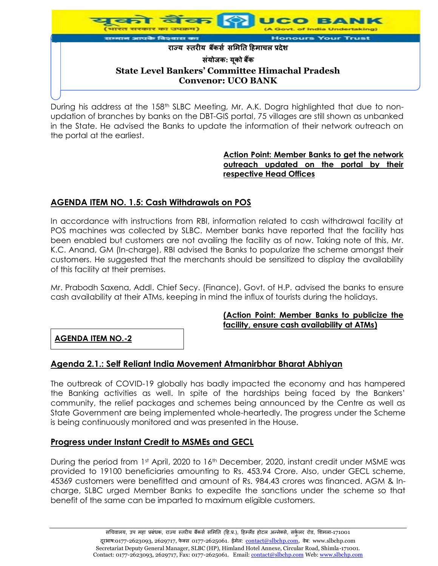

During his address at the 158<sup>th</sup> SLBC Meeting, Mr. A.K. Dogra highlighted that due to nonupdation of branches by banks on the DBT-GIS portal, 75 villages are still shown as unbanked in the State. He advised the Banks to update the information of their network outreach on the portal at the earliest.

### **Action Point: Member Banks to get the network outreach updated on the portal by their respective Head Offices**

# **AGENDA ITEM NO. 1.5: Cash Withdrawals on POS**

In accordance with instructions from RBI, information related to cash withdrawal facility at POS machines was collected by SLBC. Member banks have reported that the facility has been enabled but customers are not availing the facility as of now. Taking note of this, Mr. K.C. Anand, GM (In-charge), RBI advised the Banks to popularize the scheme amongst their customers. He suggested that the merchants should be sensitized to display the availability of this facility at their premises.

Mr. Prabodh Saxena, Addl. Chief Secy. (Finance), Govt. of H.P. advised the banks to ensure cash availability at their ATMs, keeping in mind the influx of tourists during the holidays.

### **(Action Point: Member Banks to publicize the facility, ensure cash availability at ATMs)**

**AGENDA ITEM NO.-2**

### **Agenda 2.1.: Self Reliant India Movement Atmanirbhar Bharat Abhiyan**

The outbreak of COVID-19 globally has badly impacted the economy and has hampered the Banking activities as well. In spite of the hardships being faced by the Bankers' community, the relief packages and schemes being announced by the Centre as well as State Government are being implemented whole-heartedly. The progress under the Scheme is being continuously monitored and was presented in the House.

### **Progress under Instant Credit to MSMEs and GECL**

During the period from 1st April, 2020 to 16<sup>th</sup> December, 2020, instant credit under MSME was provided to 19100 beneficiaries amounting to Rs. 453.94 Crore. Also, under GECL scheme, 45369 customers were benefitted and amount of Rs. 984.43 crores was financed. AGM & Incharge, SLBC urged Member Banks to expedite the sanctions under the scheme so that benefit of the same can be imparted to maximum eligible customers.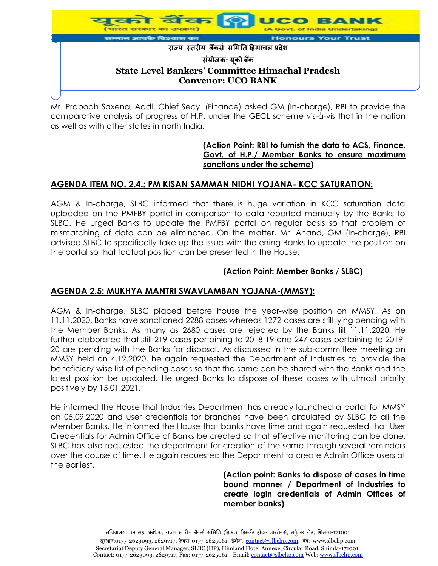

Mr. Prabodh Saxena, Addl. Chief Secy. (Finance) asked GM (In-charge), RBI to provide the comparative analysis of progress of H.P. under the GECL scheme vis-à-vis that in the nation as well as with other states in north India.

### **(Action Point: RBI to furnish the data to ACS, Finance, Govt. of H.P./ Member Banks to ensure maximum sanctions under the scheme)**

# **AGENDA ITEM NO. 2.4.: PM KISAN SAMMAN NIDHI YOJANA- KCC SATURATION:**

AGM & In-charge, SLBC informed that there is huge variation in KCC saturation data uploaded on the PMFBY portal in comparison to data reported manually by the Banks to SLBC. He urged Banks to update the PMFBY portal on regular basis so that problem of mismatching of data can be eliminated. On the matter, Mr. Anand, GM (In-charge), RBI advised SLBC to specifically take up the issue with the erring Banks to update the position on the portal so that factual position can be presented in the House.

### **(Action Point: Member Banks / SLBC)**

### **AGENDA 2.5: MUKHYA MANTRI SWAVLAMBAN YOJANA-(MMSY):**

AGM & In-charge, SLBC placed before house the year-wise position on MMSY. As on 11.11.2020, Banks have sanctioned 2288 cases whereas 1272 cases are still lying pending with the Member Banks. As many as 2680 cases are rejected by the Banks till 11.11.2020. He further elaborated that still 219 cases pertaining to 2018-19 and 247 cases pertaining to 2019- 20 are pending with the Banks for disposal. As discussed in the sub-committee meeting on MMSY held on 4.12.2020, he again requested the Department of Industries to provide the beneficiary-wise list of pending cases so that the same can be shared with the Banks and the latest position be updated. He urged Banks to dispose of these cases with utmost priority positively by 15.01.2021.

He informed the House that Industries Department has already launched a portal for MMSY on 05.09.2020 and user credentials for branches have been circulated by SLBC to all the Member Banks. He informed the House that banks have time and again requested that User Credentials for Admin Office of Banks be created so that effective monitoring can be done. SLBC has also requested the department for creation of the same through several reminders over the course of time. He again requested the Department to create Admin Office users at the earliest.

> **(Action point: Banks to dispose of cases in time bound manner / Department of Industries to create login credentials of Admin Offices of member banks)**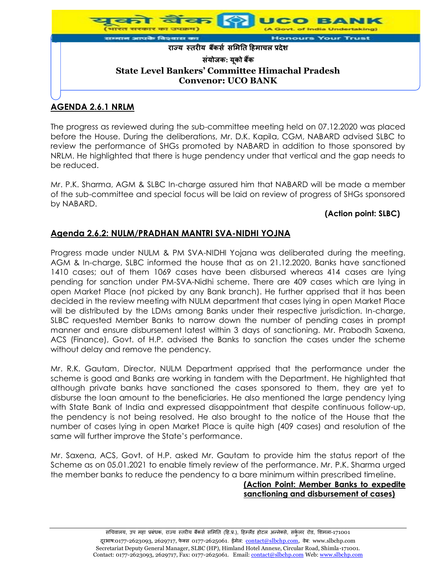

# **AGENDA 2.6.1 NRLM**

The progress as reviewed during the sub-committee meeting held on 07.12.2020 was placed before the House. During the deliberations, Mr. D.K. Kapila, CGM, NABARD advised SLBC to review the performance of SHGs promoted by NABARD in addition to those sponsored by NRLM. He highlighted that there is huge pendency under that vertical and the gap needs to be reduced.

Mr. P.K. Sharma, AGM & SLBC In-charge assured him that NABARD will be made a member of the sub-committee and special focus will be laid on review of progress of SHGs sponsored by NABARD.

### **(Action point: SLBC)**

# **Agenda 2.6.2: NULM/PRADHAN MANTRI SVA-NIDHI YOJNA**

Progress made under NULM & PM SVA-NIDHI Yojana was deliberated during the meeting. AGM & In-charge, SLBC informed the house that as on 21.12.2020, Banks have sanctioned 1410 cases; out of them 1069 cases have been disbursed whereas 414 cases are lying pending for sanction under PM-SVA-Nidhi scheme. There are 409 cases which are lying in open Market Place (not picked by any Bank branch). He further apprised that it has been decided in the review meeting with NULM department that cases lying in open Market Place will be distributed by the LDMs among Banks under their respective jurisdiction. In-charge, SLBC requested Member Banks to narrow down the number of pending cases in prompt manner and ensure disbursement latest within 3 days of sanctioning. Mr. Prabodh Saxena, ACS (Finance), Govt. of H.P. advised the Banks to sanction the cases under the scheme without delay and remove the pendency.

Mr. R.K. Gautam, Director, NULM Department apprised that the performance under the scheme is good and Banks are working in tandem with the Department. He highlighted that although private banks have sanctioned the cases sponsored to them, they are yet to disburse the loan amount to the beneficiaries. He also mentioned the large pendency lying with State Bank of India and expressed disappointment that despite continuous follow-up, the pendency is not being resolved. He also brought to the notice of the House that the number of cases lying in open Market Place is quite high (409 cases) and resolution of the same will further improve the State's performance.

Mr. Saxena, ACS, Govt. of H.P. asked Mr. Gautam to provide him the status report of the Scheme as on 05.01.2021 to enable timely review of the performance. Mr. P.K. Sharma urged the member banks to reduce the pendency to a bare minimum within prescribed timeline.

### **(Action Point: Member Banks to expedite sanctioning and disbursement of cases)**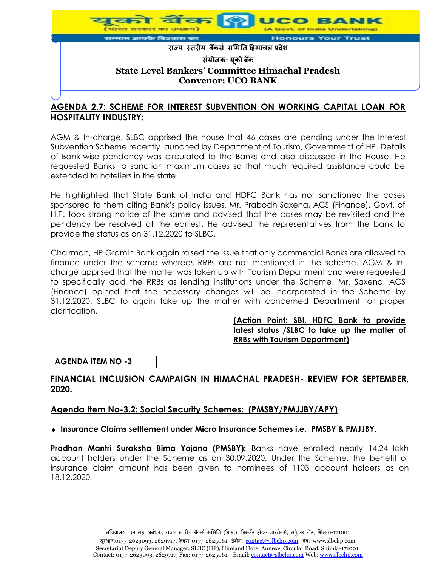

### **AGENDA 2.7: SCHEME FOR INTEREST SUBVENTION ON WORKING CAPITAL LOAN FOR HOSPITALITY INDUSTRY:**

AGM & In-charge, SLBC apprised the house that 46 cases are pending under the Interest Subvention Scheme recently launched by Department of Tourism, Government of HP. Details of Bank-wise pendency was circulated to the Banks and also discussed in the House. He requested Banks to sanction maximum cases so that much required assistance could be extended to hoteliers in the state.

He highlighted that State Bank of India and HDFC Bank has not sanctioned the cases sponsored to them citing Bank's policy issues. Mr. Prabodh Saxena, ACS (Finance), Govt. of H.P. took strong notice of the same and advised that the cases may be revisited and the pendency be resolved at the earliest. He advised the representatives from the bank to provide the status as on 31.12.2020 to SLBC.

Chairman, HP Gramin Bank again raised the issue that only commercial Banks are allowed to finance under the scheme whereas RRBs are not mentioned in the scheme. AGM & Incharge apprised that the matter was taken up with Tourism Department and were requested to specifically add the RRBs as lending institutions under the Scheme. Mr. Saxena, ACS (Finance) opined that the necessary changes will be incorporated in the Scheme by 31.12.2020. SLBC to again take up the matter with concerned Department for proper clarification.

#### **(Action Point: SBI, HDFC Bank to provide latest status /SLBC to take up the matter of RRBs with Tourism Department)**

**AGENDA ITEM NO -3**

### **FINANCIAL INCLUSION CAMPAIGN IN HIMACHAL PRADESH- REVIEW FOR SEPTEMBER, 2020.**

### **Agenda Item No-3.2: Social Security Schemes: (PMSBY/PMJJBY/APY)**

### **Insurance Claims settlement under Micro Insurance Schemes i.e. PMSBY & PMJJBY.**

**Pradhan Mantri Suraksha Bima Yojana (PMSBY):** Banks have enrolled nearly 14.24 lakh account holders under the Scheme as on 30.09.2020. Under the Scheme, the benefit of insurance claim amount has been given to nominees of 1103 account holders as on 18.12.2020.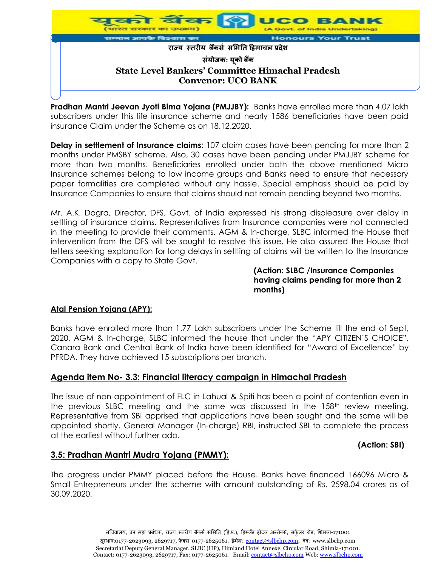

**Pradhan Mantri Jeevan Jyoti Bima Yojana (PMJJBY):** Banks have enrolled more than 4.07 lakh subscribers under this life insurance scheme and nearly 1586 beneficiaries have been paid insurance Claim under the Scheme as on 18.12.2020.

**Delay in settlement of Insurance claims**: 107 claim cases have been pending for more than 2 months under PMSBY scheme. Also, 30 cases have been pending under PMJJBY scheme for more than two months. Beneficiaries enrolled under both the above mentioned Micro Insurance schemes belong to low income groups and Banks need to ensure that necessary paper formalities are completed without any hassle. Special emphasis should be paid by Insurance Companies to ensure that claims should not remain pending beyond two months.

Mr. A.K. Dogra, Director, DFS, Govt. of India expressed his strong displeasure over delay in settling of insurance claims. Representatives from Insurance companies were not connected in the meeting to provide their comments. AGM & In-charge, SLBC informed the House that intervention from the DFS will be sought to resolve this issue. He also assured the House that letters seeking explanation for long delays in settling of claims will be written to the Insurance Companies with a copy to State Govt.

#### **(Action: SLBC /Insurance Companies having claims pending for more than 2 months)**

### **Atal Pension Yojana (APY):**

Banks have enrolled more than 1.77 Lakh subscribers under the Scheme till the end of Sept, 2020. AGM & In-charge, SLBC informed the house that under the "APY CITIZEN'S CHOICE", Canara Bank and Central Bank of India have been identified for "Award of Excellence" by PFRDA. They have achieved 15 subscriptions per branch.

### **Agenda item No- 3.3: Financial literacy campaign in Himachal Pradesh**

The issue of non-appointment of FLC in Lahual & Spiti has been a point of contention even in the previous SLBC meeting and the same was discussed in the 158<sup>th</sup> review meeting. Representative from SBI apprised that applications have been sought and the same will be appointed shortly. General Manager (In-charge) RBI, instructed SBI to complete the process at the earliest without further ado.

### **(Action: SBI)**

### **3.5: Pradhan Mantri Mudra Yojana (PMMY):**

The progress under PMMY placed before the House. Banks have financed 166096 Micro & Small Entrepreneurs under the scheme with amount outstanding of Rs. 2598.04 crores as of 30.09.2020.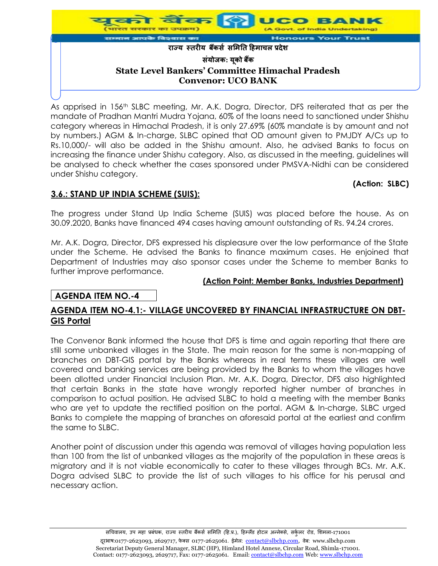

As apprised in 156<sup>th</sup> SLBC meeting, Mr. A.K. Dogra, Director, DFS reiterated that as per the mandate of Pradhan Mantri Mudra Yojana, 60% of the loans need to sanctioned under Shishu category whereas in Himachal Pradesh, it is only 27.69% (60% mandate is by amount and not by numbers.) AGM & In-charge, SLBC opined that OD amount given to PMJDY A/Cs up to Rs.10,000/- will also be added in the Shishu amount. Also, he advised Banks to focus on increasing the finance under Shishu category. Also, as discussed in the meeting, guidelines will be analysed to check whether the cases sponsored under PMSVA-Nidhi can be considered under Shishu category.

### **(Action: SLBC)**

# **3.6.: STAND UP INDIA SCHEME (SUIS):**

The progress under Stand Up India Scheme (SUIS) was placed before the house. As on 30.09.2020, Banks have financed 494 cases having amount outstanding of Rs. 94.24 crores.

Mr. A.K. Dogra, Director, DFS expressed his displeasure over the low performance of the State under the Scheme. He advised the Banks to finance maximum cases. He enjoined that Department of Industries may also sponsor cases under the Scheme to member Banks to further improve performance.

#### **(Action Point: Member Banks, Industries Department)**

### **AGENDA ITEM NO.-4**

### **AGENDA ITEM NO-4.1:- VILLAGE UNCOVERED BY FINANCIAL INFRASTRUCTURE ON DBT-GIS Portal**

The Convenor Bank informed the house that DFS is time and again reporting that there are still some unbanked villages in the State. The main reason for the same is non-mapping of branches on DBT-GIS portal by the Banks whereas in real terms these villages are well covered and banking services are being provided by the Banks to whom the villages have been allotted under Financial Inclusion Plan. Mr. A.K. Dogra, Director, DFS also highlighted that certain Banks in the state have wrongly reported higher number of branches in comparison to actual position. He advised SLBC to hold a meeting with the member Banks who are yet to update the rectified position on the portal. AGM & In-charge, SLBC urged Banks to complete the mapping of branches on aforesaid portal at the earliest and confirm the same to SLBC.

Another point of discussion under this agenda was removal of villages having population less than 100 from the list of unbanked villages as the majority of the population in these areas is migratory and it is not viable economically to cater to these villages through BCs. Mr. A.K. Dogra advised SLBC to provide the list of such villages to his office for his perusal and necessary action.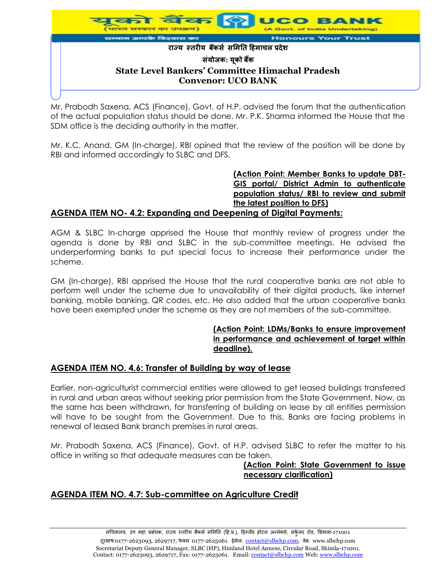

Mr. Prabodh Saxena, ACS (Finance), Govt. of H.P. advised the forum that the authentication of the actual population status should be done. Mr. P.K. Sharma informed the House that the SDM office is the deciding authority in the matter.

Mr. K.C. Anand, GM (In-charge), RBI opined that the review of the position will be done by RBI and informed accordingly to SLBC and DFS.

> **(Action Point: Member Banks to update DBT-GIS portal/ District Admin to authenticate population status/ RBI to review and submit the latest position to DFS)**

### **AGENDA ITEM NO- 4.2: Expanding and Deepening of Digital Payments:**

AGM & SLBC In-charge apprised the House that monthly review of progress under the agenda is done by RBI and SLBC in the sub-committee meetings. He advised the underperforming banks to put special focus to increase their performance under the scheme.

GM (In-charge), RBI apprised the House that the rural cooperative banks are not able to perform well under the scheme due to unavailability of their digital products, like internet banking, mobile banking, QR codes, etc. He also added that the urban cooperative banks have been exempted under the scheme as they are not members of the sub-committee.

#### **(Action Point: LDMs/Banks to ensure improvement in performance and achievement of target within deadline).**

### **AGENDA ITEM NO. 4.6: Transfer of Building by way of lease**

Earlier, non-agriculturist commercial entities were allowed to get leased buildings transferred in rural and urban areas without seeking prior permission from the State Government. Now, as the same has been withdrawn, for transferring of building on lease by all entities permission will have to be sought from the Government. Due to this, Banks are facing problems in renewal of leased Bank branch premises in rural areas.

Mr. Prabodh Saxena, ACS (Finance), Govt. of H.P. advised SLBC to refer the matter to his office in writing so that adequate measures can be taken.

#### **(Action Point: State Government to issue necessary clarification)**

# **AGENDA ITEM NO. 4.7: Sub-committee on Agriculture Credit**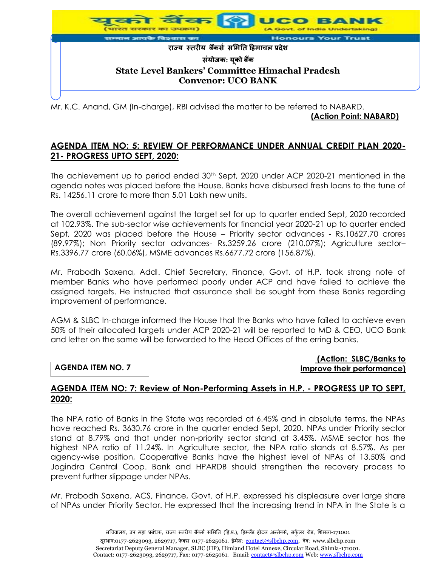

Mr. K.C. Anand, GM (In-charge), RBI advised the matter to be referred to NABARD.  **(Action Point: NABARD)**

### **AGENDA ITEM NO: 5: REVIEW OF PERFORMANCE UNDER ANNUAL CREDIT PLAN 2020- 21- PROGRESS UPTO SEPT, 2020:**

The achievement up to period ended  $30<sup>th</sup>$  Sept, 2020 under ACP 2020-21 mentioned in the agenda notes was placed before the House. Banks have disbursed fresh loans to the tune of Rs. 14256.11 crore to more than 5.01 Lakh new units.

The overall achievement against the target set for up to quarter ended Sept, 2020 recorded at 102.93%. The sub-sector wise achievements for financial year 2020-21 up to quarter ended Sept, 2020 was placed before the House – Priority sector advances - Rs.10627.70 crores (89.97%); Non Priority sector advances- Rs.3259.26 crore (210.07%); Agriculture sector– Rs.3396.77 crore (60.06%), MSME advances Rs.6677.72 crore (156.87%).

Mr. Prabodh Saxena, Addl. Chief Secretary, Finance, Govt. of H.P. took strong note of member Banks who have performed poorly under ACP and have failed to achieve the assigned targets. He instructed that assurance shall be sought from these Banks regarding improvement of performance.

AGM & SLBC In-charge informed the House that the Banks who have failed to achieve even 50% of their allocated targets under ACP 2020-21 will be reported to MD & CEO, UCO Bank and letter on the same will be forwarded to the Head Offices of the erring banks.

### **AGENDA ITEM NO. 7**

#### **(Action: SLBC/Banks to improve their performance)**

### **AGENDA ITEM NO: 7: Review of Non-Performing Assets in H.P. - PROGRESS UP TO SEPT, 2020:**

The NPA ratio of Banks in the State was recorded at 6.45% and in absolute terms, the NPAs have reached Rs. 3630.76 crore in the quarter ended Sept, 2020. NPAs under Priority sector stand at 8.79% and that under non-priority sector stand at 3.45%. MSME sector has the highest NPA ratio of 11.24%. In Agriculture sector, the NPA ratio stands at 8.57%. As per agency-wise position, Cooperative Banks have the highest level of NPAs of 13.50% and Jogindra Central Coop. Bank and HPARDB should strengthen the recovery process to prevent further slippage under NPAs.

Mr. Prabodh Saxena, ACS, Finance, Govt. of H.P. expressed his displeasure over large share of NPAs under Priority Sector. He expressed that the increasing trend in NPA in the State is a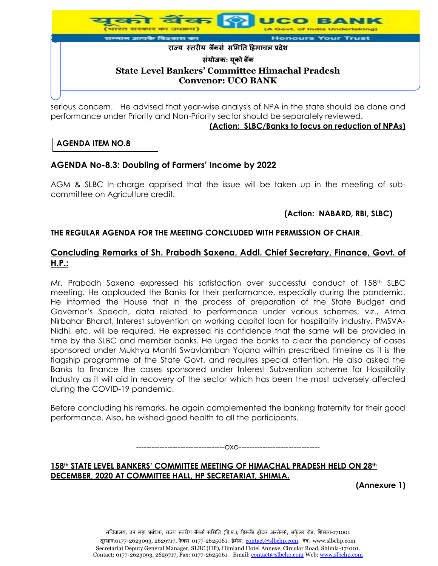

serious concern. He advised that year-wise analysis of NPA in the state should be done and performance under Priority and Non-Priority sector should be separately reviewed. **(Action: SLBC/Banks to focus on reduction of NPAs)**

### **AGENDA ITEM NO.8**

# **AGENDA No-8.3: Doubling of Farmers' Income by 2022**

AGM & SLBC In-charge apprised that the issue will be taken up in the meeting of subcommittee on Agriculture credit.

### **(Action: NABARD, RBI, SLBC)**

### **THE REGULAR AGENDA FOR THE MEETING CONCLUDED WITH PERMISSION OF CHAIR**.

### **Concluding Remarks of Sh. Prabodh Saxena, Addl. Chief Secretary, Finance, Govt. of H.P.:**

Mr. Prabodh Saxena expressed his satisfaction over successful conduct of 158th SLBC meeting. He applauded the Banks for their performance, especially during the pandemic. He informed the House that in the process of preparation of the State Budget and Governor's Speech, data related to performance under various schemes, viz., Atma Nirbahar Bharat, Interest subvention on working capital loan for hospitality industry, PMSVA-Nidhi, etc. will be required. He expressed his confidence that the same will be provided in time by the SLBC and member banks. He urged the banks to clear the pendency of cases sponsored under Mukhya Mantri Swavlamban Yojana within prescribed timeline as it is the flagship programme of the State Govt. and requires special attention. He also asked the Banks to finance the cases sponsored under Interest Subvention scheme for Hospitality Industry as it will aid in recovery of the sector which has been the most adversely affected during the COVID-19 pandemic.

Before concluding his remarks, he again complemented the banking fraternity for their good performance. Also, he wished good health to all the participants.

----------------------------------oxo-------------------------------

158<sup>th</sup> STATE LEVEL BANKERS' COMMITTEE MEETING OF HIMACHAL PRADESH HELD ON 28<sup>th</sup> **DECEMBER, 2020 AT COMMITTEE HALL, HP SECRETARIAT, SHIMLA.**

**(Annexure 1)**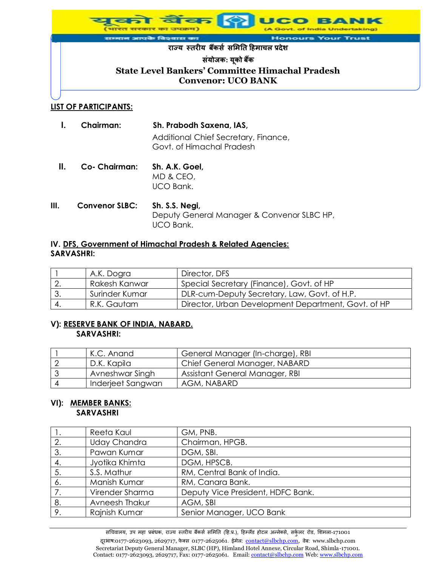

#### **LIST OF PARTICIPANTS:**

|      | <b>Chairman:</b>      | Sh. Prabodh Saxena, IAS,<br>Additional Chief Secretary, Finance,<br>Govt. of Himachal Pradesh |  |
|------|-----------------------|-----------------------------------------------------------------------------------------------|--|
| Ш.   | Co- Chairman:         | Sh. A.K. Goel,<br>MD & CEO,<br>UCO Bank.                                                      |  |
| III. | <b>Convenor SLBC:</b> | Sh. S.S. Negi,<br>Deputy General Manager & Convenor SLBC HP,<br>UCO Bank.                     |  |

### **IV. DFS, Government of Himachal Pradesh & Related Agencies: SARVASHRI:**

|     | A.K. Dogra     | Director, DFS                                       |
|-----|----------------|-----------------------------------------------------|
|     | Rakesh Kanwar  | Special Secretary (Finance), Govt. of HP            |
|     | Surinder Kumar | DLR-cum-Deputy Secretary, Law, Govt. of H.P.        |
| -4. | R.K. Gautam    | Director, Urban Development Department, Govt. of HP |

### **V): RESERVE BANK OF INDIA, NABARD. SARVASHRI:**

| K.C. Anand        | General Manager (In-charge), RBI |
|-------------------|----------------------------------|
| D.K. Kapila       | Chief General Manager, NABARD    |
| Avneshwar Singh   | Assistant General Manager, RBI   |
| Inderjeet Sangwan | AGM, NABARD                      |

#### **VI): MEMBER BANKS: SARVASHRI**

|    | Reeta Kaul          | GM, PNB.                          |
|----|---------------------|-----------------------------------|
| 2. | <b>Uday Chandra</b> | Chairman, HPGB.                   |
| 3. | Pawan Kumar         | DGM, SBI.                         |
| 4. | Jyotika Khimta      | DGM, HPSCB.                       |
| 5. | S.S. Mathur         | RM, Central Bank of India.        |
| 6. | Manish Kumar        | RM, Canara Bank.                  |
|    | Virender Sharma     | Deputy Vice President, HDFC Bank. |
| 8. | Avneesh Thakur      | AGM, SBI                          |
| 9. | Rajnish Kumar       | Senior Manager, UCO Bank          |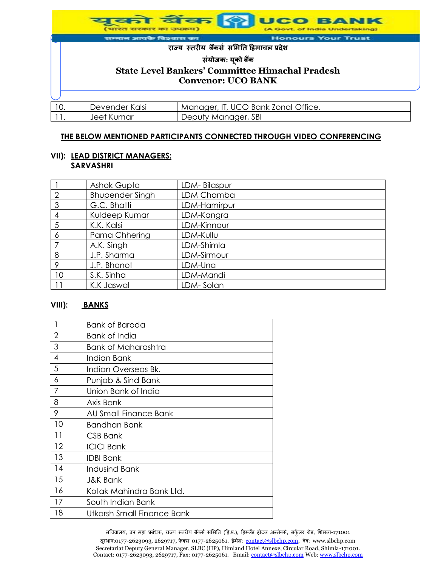|                                                                                                          | भारत सरकार का उपक्रम)        |                                          | युको बैंक <mark>(†)</mark> UCO BANK<br>(A Govt. of India Undertaking) |
|----------------------------------------------------------------------------------------------------------|------------------------------|------------------------------------------|-----------------------------------------------------------------------|
|                                                                                                          | सम्मान आपके विश्वास का       |                                          | <b>Honours Your Trust</b>                                             |
|                                                                                                          |                              | राज्य स्तरीय बैंकर्स समिति हिमाचल प्रदेश |                                                                       |
| संयोजक: यूको बैंक<br><b>State Level Bankers' Committee Himachal Pradesh</b><br><b>Convenor: UCO BANK</b> |                              |                                          |                                                                       |
| 10.                                                                                                      | Devender Kalsi<br>Jeet Kumar | Deputy Manager, SBI                      | Manager, IT, UCO Bank Zonal Office.                                   |

#### **THE BELOW MENTIONED PARTICIPANTS CONNECTED THROUGH VIDEO CONFERENCING**

#### **VII): LEAD DISTRICT MANAGERS: SARVASHRI**

|                | <b>Ashok Gupta</b>     | LDM-Bilaspur |
|----------------|------------------------|--------------|
| $\overline{2}$ | <b>Bhupender Singh</b> | LDM Chamba   |
| 3              | G.C. Bhatti            | LDM-Hamirpur |
| 4              | Kuldeep Kumar          | LDM-Kangra   |
| 5              | K.K. Kalsi             | LDM-Kinnaur  |
| 6              | Pama Chhering          | LDM-Kullu    |
|                | A.K. Singh             | LDM-Shimla   |
| 8              | J.P. Sharma            | LDM-Sirmour  |
| 9              | J.P. Bhanot            | LDM-Una      |
| 10             | S.K. Sinha             | LDM-Mandi    |
| 11             | K.K Jaswal             | LDM- Solan   |

### **VIII): BANKS**

|    | Bank of Baroda             |
|----|----------------------------|
| 2  | Bank of India              |
| 3  | Bank of Maharashtra        |
| 4  | Indian Bank                |
| 5  | Indian Overseas Bk.        |
| 6  | Punjab & Sind Bank         |
| 7  | Union Bank of India        |
| 8  | Axis Bank                  |
| 9  | AU Small Finance Bank      |
| 10 | <b>Bandhan Bank</b>        |
| 11 | CSB Bank                   |
| 12 | <b>ICICI Bank</b>          |
| 13 | <b>IDBI Bank</b>           |
| 14 | <b>Indusind Bank</b>       |
| 15 | <b>J&amp;K Bank</b>        |
| 16 | Kotak Mahindra Bank Ltd.   |
| 17 | South Indian Bank          |
| 18 | Utkarsh Small Finance Bank |

सचिवालय, उप महा प्रबंधक, राज्य स्तरीय बैंकर्स समिति (हि.प्र.), हिम्लैंड होटल अन्नेक्से, सर्कुलर रोड, शिमला-171001 दूरआष:0177-2623093, 2629717, फेक्स 0177-2625061. ईमेल: contact@slbchp.com, वेब: www.slbchp.com Secretariat Deputy General Manager, SLBC (HP), Himland Hotel Annexe, Circular Road, Shimla-171001. Contact: 0177-2623093, 2629717, Fax: 0177-2625061. Email: contact@slbchp.com Web: www.slbchp.com